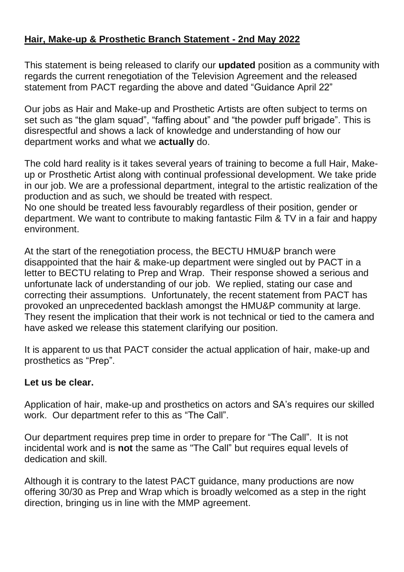### **Hair, Make-up & Prosthetic Branch Statement - 2nd May 2022**

This statement is being released to clarify our **updated** position as a community with regards the current renegotiation of the Television Agreement and the released statement from PACT regarding the above and dated "Guidance April 22"

Our jobs as Hair and Make-up and Prosthetic Artists are often subject to terms on set such as "the glam squad", "faffing about" and "the powder puff brigade". This is disrespectful and shows a lack of knowledge and understanding of how our department works and what we **actually** do.

The cold hard reality is it takes several years of training to become a full Hair, Makeup or Prosthetic Artist along with continual professional development. We take pride in our job. We are a professional department, integral to the artistic realization of the production and as such, we should be treated with respect. No one should be treated less favourably regardless of their position, gender or department. We want to contribute to making fantastic Film & TV in a fair and happy

environment.

At the start of the renegotiation process, the BECTU HMU&P branch were disappointed that the hair & make-up department were singled out by PACT in a letter to BECTU relating to Prep and Wrap. Their response showed a serious and unfortunate lack of understanding of our job. We replied, stating our case and correcting their assumptions. Unfortunately, the recent statement from PACT has provoked an unprecedented backlash amongst the HMU&P community at large. They resent the implication that their work is not technical or tied to the camera and have asked we release this statement clarifying our position.

It is apparent to us that PACT consider the actual application of hair, make-up and prosthetics as "Prep".

### **Let us be clear.**

Application of hair, make-up and prosthetics on actors and SA's requires our skilled work. Our department refer to this as "The Call".

Our department requires prep time in order to prepare for "The Call". It is not incidental work and is **not** the same as "The Call" but requires equal levels of dedication and skill.

Although it is contrary to the latest PACT guidance, many productions are now offering 30/30 as Prep and Wrap which is broadly welcomed as a step in the right direction, bringing us in line with the MMP agreement.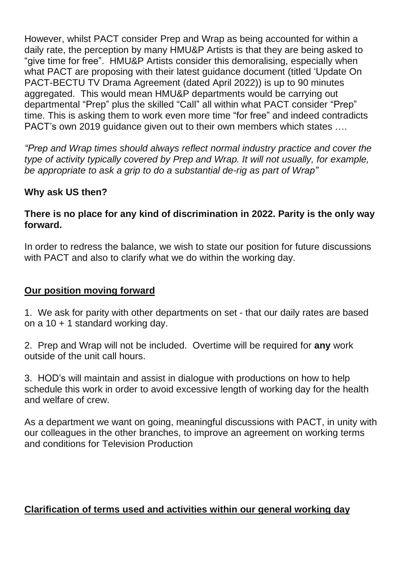However, whilst PACT consider Prep and Wrap as being accounted for within a daily rate, the perception by many HMU&P Artists is that they are being asked to "give time for free". HMU&P Artists consider this demoralising, especially when what PACT are proposing with their latest guidance document (titled 'Update On PACT-BECTU TV Drama Agreement (dated April 2022)) is up to 90 minutes aggregated. This would mean HMU&P departments would be carrying out departmental "Prep" plus the skilled "Call" all within what PACT consider "Prep" time. This is asking them to work even more time "for free" and indeed contradicts PACT's own 2019 guidance given out to their own members which states ….

*"Prep and Wrap times should always reflect normal industry practice and cover the type of activity typically covered by Prep and Wrap. It will not usually, for example, be appropriate to ask a grip to do a substantial de-rig as part of Wrap"*

### **Why ask US then?**

### **There is no place for any kind of discrimination in 2022. Parity is the only way forward.**

In order to redress the balance, we wish to state our position for future discussions with PACT and also to clarify what we do within the working day.

#### **Our position moving forward**

1. We ask for parity with other departments on set - that our daily rates are based on a 10 + 1 standard working day.

2. Prep and Wrap will not be included. Overtime will be required for **any** work outside of the unit call hours.

3. HOD's will maintain and assist in dialogue with productions on how to help schedule this work in order to avoid excessive length of working day for the health and welfare of crew.

As a department we want on going, meaningful discussions with PACT, in unity with our colleagues in the other branches, to improve an agreement on working terms and conditions for Television Production

### **Clarification of terms used and activities within our general working day**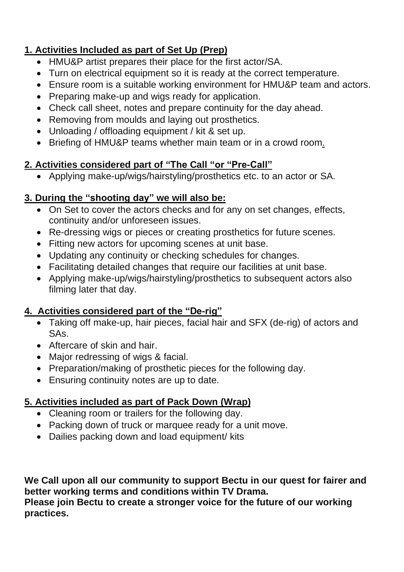# **1. Activities Included as part of Set Up (Prep)**

- HMU&P artist prepares their place for the first actor/SA.
- Turn on electrical equipment so it is ready at the correct temperature.
- Ensure room is a suitable working environment for HMU&P team and actors.
- Preparing make-up and wigs ready for application.
- Check call sheet, notes and prepare continuity for the day ahead.
- Removing from moulds and laying out prosthetics.
- Unloading / offloading equipment / kit & set up.
- Briefing of HMU&P teams whether main team or in a crowd room.

## **2. Activities considered part of "The Call "or "Pre-Call"**

• Applying make-up/wigs/hairstyling/prosthetics etc. to an actor or SA.

## **3. During the "shooting day" we will also be:**

- On Set to cover the actors checks and for any on set changes, effects, continuity and/or unforeseen issues.
- Re-dressing wigs or pieces or creating prosthetics for future scenes.
- Fitting new actors for upcoming scenes at unit base.
- Updating any continuity or checking schedules for changes.
- Facilitating detailed changes that require our facilities at unit base.
- Applying make-up/wigs/hairstyling/prosthetics to subsequent actors also filming later that day.

## **4. Activities considered part of the "De-rig"**

- Taking off make-up, hair pieces, facial hair and SFX (de-rig) of actors and SAs.
- Aftercare of skin and hair.
- Major redressing of wigs & facial.
- Preparation/making of prosthetic pieces for the following day.
- Ensuring continuity notes are up to date.

## **5. Activities included as part of Pack Down (Wrap)**

- Cleaning room or trailers for the following day.
- Packing down of truck or marquee ready for a unit move.
- Dailies packing down and load equipment/ kits

**We Call upon all our community to support Bectu in our quest for fairer and better working terms and conditions within TV Drama. Please join Bectu to create a stronger voice for the future of our working practices.**